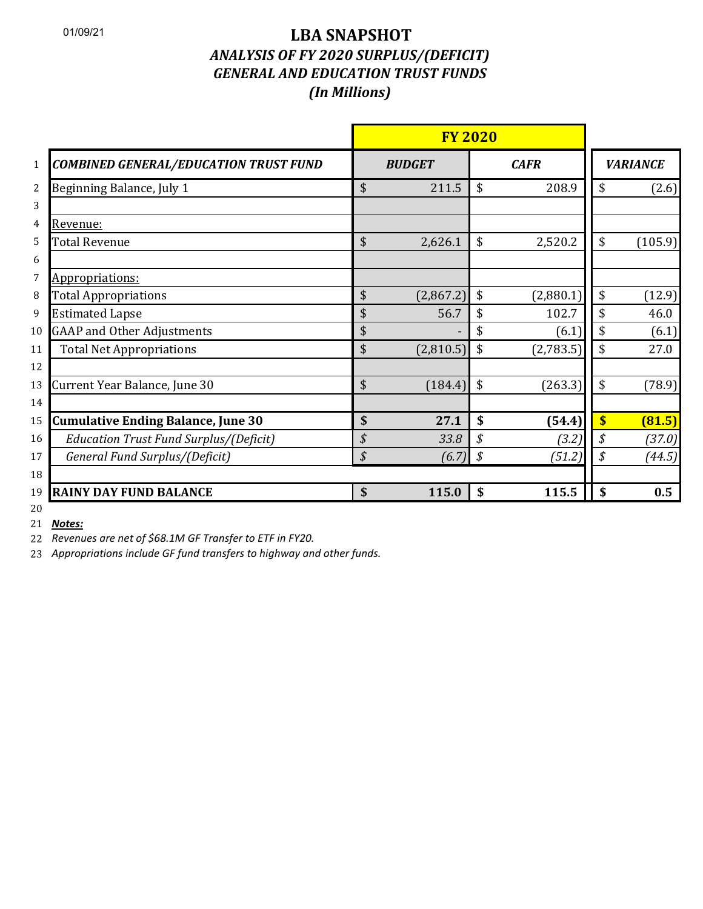## 01/09/21 **LBA SNAPSHOT**  *ANALYSIS OF FY 2020 SURPLUS/(DEFICIT) GENERAL AND EDUCATION TRUST FUNDS (In Millions)*

|                                                 | <b>FY 2020</b>  |    |             |                         |                 |  |
|-------------------------------------------------|-----------------|----|-------------|-------------------------|-----------------|--|
| <b>COMBINED GENERAL/EDUCATION TRUST FUND</b>    | <b>BUDGET</b>   |    | <b>CAFR</b> |                         | <b>VARIANCE</b> |  |
| Beginning Balance, July 1<br>$\overline{2}$     | \$<br>211.5     | \$ | 208.9       | \$                      | (2.6)           |  |
| 3                                               |                 |    |             |                         |                 |  |
| Revenue:<br>4                                   |                 |    |             |                         |                 |  |
| <b>Total Revenue</b><br>5                       | \$<br>2,626.1   | \$ | 2,520.2     | \$                      | (105.9)         |  |
| 6                                               |                 |    |             |                         |                 |  |
| Appropriations:<br>7                            |                 |    |             |                         |                 |  |
| <b>Total Appropriations</b><br>8                | \$<br>(2,867.2) | \$ | (2,880.1)   | \$                      | (12.9)          |  |
| <b>Estimated Lapse</b><br>9                     | \$<br>56.7      | \$ | 102.7       | \$                      | 46.0            |  |
| <b>GAAP and Other Adjustments</b><br>10         | \$              |    | (6.1)       | \$                      | (6.1)           |  |
| <b>Total Net Appropriations</b><br>11           | \$<br>(2,810.5) | \$ | (2,783.5)   | \$                      | 27.0            |  |
| 12                                              |                 |    |             |                         |                 |  |
| Current Year Balance, June 30<br>13             | \$<br>(184.4)   | \$ | (263.3)     | \$                      | (78.9)          |  |
| 14                                              |                 |    |             |                         |                 |  |
| <b>Cumulative Ending Balance, June 30</b><br>15 | \$<br>27.1      | \$ | (54.4)      | $\overline{\mathbf{S}}$ | (81.5)          |  |
| Education Trust Fund Surplus/(Deficit)<br>16    | \$<br>33.8      | \$ | (3.2)       | \$                      | (37.0)          |  |
| General Fund Surplus/(Deficit)<br>17            | \$<br>(6.7)     | \$ | (51.2)      | \$                      | (44.5)          |  |
| 18                                              |                 |    |             |                         |                 |  |
| <b>RAINY DAY FUND BALANCE</b><br>19             | \$<br>115.0     | \$ | 115.5       | \$                      | 0.5             |  |
| 20                                              |                 |    |             |                         |                 |  |

*Notes:*

*Revenues are net of \$68.1M GF Transfer to ETF in FY20.*

*Appropriations include GF fund transfers to highway and other funds.*